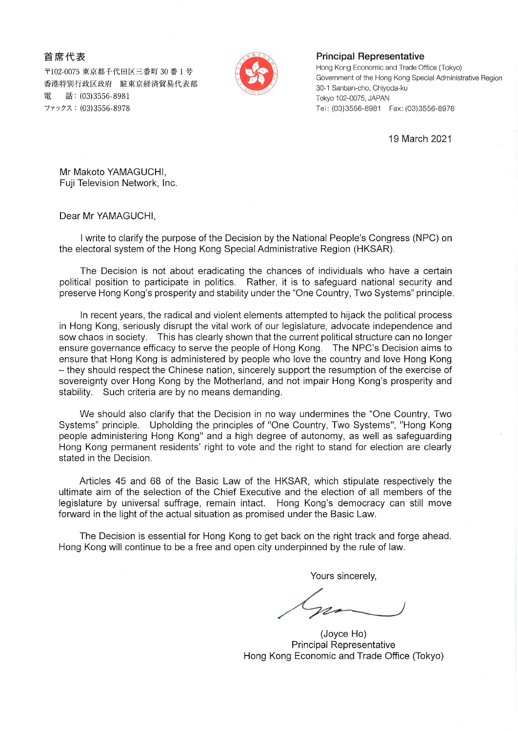首席代表

〒102-0075 東京都千代田区三番町 30 番 1 号 香港特別行政区政府 駐東京経済貿易代表部 話: (03)3556-8981 雷 ファックス: (03)3556-8978



## **Principal Representative**

Hong Kong Economic and Trade Office (Tokyo) Government of the Hong Kong Special Administrative Region 30-1 Sanban-cho, Chiyoda-ku Tokyo 102-0075, JAPAN Tel: (03)3556-8981 Fax: (03)3556-8978

19 March 2021

Mr Makoto YAMAGUCHI, Fuji Television Network, Inc.

Dear Mr YAMAGUCHI,

I write to clarify the purpose of the Decision by the National People's Congress (NPC) on the electoral system of the Hong Kong Special Administrative Region (HKSAR).

The Decision is not about eradicating the chances of individuals who have a certain political position to participate in politics. Rather, it is to safeguard national security and preserve Hong Kong's prosperity and stability under the "One Country, Two Systems" principle.

In recent years, the radical and violent elements attempted to hijack the political process in Hong Kong, seriously disrupt the vital work of our legislature, advocate independence and sow chaos in society. This has clearly shown that the current political structure can no longer ensure governance efficacy to serve the people of Hong Kong. The NPC's Decision aims to ensure that Hong Kong is administered by people who love the country and love Hong Kong - they should respect the Chinese nation, sincerely support the resumption of the exercise of sovereignty over Hong Kong by the Motherland, and not impair Hong Kong's prosperity and stability. Such criteria are by no means demanding.

We should also clarify that the Decision in no way undermines the "One Country, Two Systems" principle. Upholding the principles of "One Country, Two Systems", "Hong Kong people administering Hong Kong" and a high degree of autonomy, as well as safeguarding Hong Kong permanent residents' right to vote and the right to stand for election are clearly stated in the Decision.

Articles 45 and 68 of the Basic Law of the HKSAR, which stipulate respectively the ultimate aim of the selection of the Chief Executive and the election of all members of the legislature by universal suffrage, remain intact. Hong Kong's democracy can still move forward in the light of the actual situation as promised under the Basic Law.

The Decision is essential for Hong Kong to get back on the right track and forge ahead. Hong Kong will continue to be a free and open city underpinned by the rule of law.

Yours sincerely,

(Joyce Ho) **Principal Representative** Hong Kong Economic and Trade Office (Tokyo)